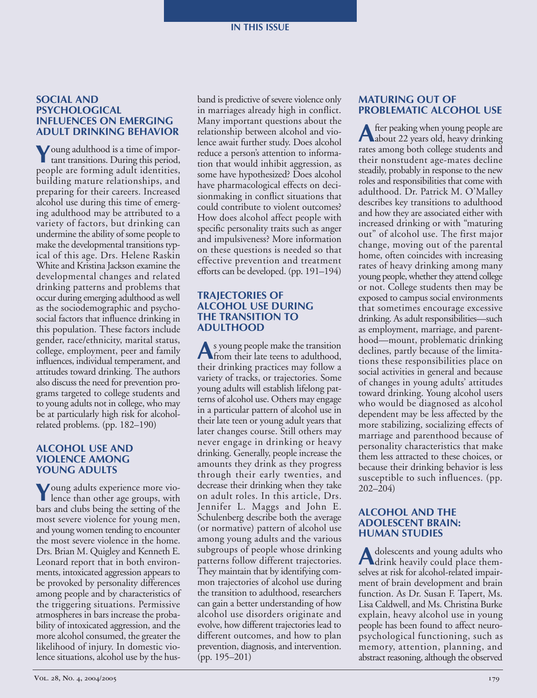#### **IN THIS ISSUE**

### **SOCIAL AND PSYCHOLOGICAL INFLUENCES ON EMERGING ADULT DRINKING BEHAVIOR**

**Y**oung adulthood is a time of impor-tant transitions. During this period, people are forming adult identities, building mature relationships, and preparing for their careers. Increased alcohol use during this time of emerging adulthood may be attributed to a variety of factors, but drinking can undermine the ability of some people to make the developmental transitions typical of this age. Drs. Helene Raskin White and Kristina Jackson examine the developmental changes and related drinking patterns and problems that occur during emerging adulthood as well as the sociodemographic and psychosocial factors that influence drinking in this population. These factors include gender, race/ethnicity, marital status, college, employment, peer and family influences, individual temperament, and attitudes toward drinking. The authors also discuss the need for prevention programs targeted to college students and to young adults not in college, who may be at particularly high risk for alcoholrelated problems. (pp. 182–190)

# **ALCOHOL USE AND VIOLENCE AMONG YOUNG ADULTS**

**Y**oung adults experience more vio-lence than other age groups, with bars and clubs being the setting of the most severe violence for young men, and young women tending to encounter the most severe violence in the home. Drs. Brian M. Quigley and Kenneth E. Leonard report that in both environments, intoxicated aggression appears to be provoked by personality differences among people and by characteristics of the triggering situations. Permissive atmospheres in bars increase the probability of intoxicated aggression, and the more alcohol consumed, the greater the likelihood of injury. In domestic violence situations, alcohol use by the husband is predictive of severe violence only in marriages already high in conflict. Many important questions about the relationship between alcohol and violence await further study. Does alcohol reduce a person's attention to information that would inhibit aggression, as some have hypothesized? Does alcohol have pharmacological effects on decisionmaking in conflict situations that could contribute to violent outcomes? How does alcohol affect people with specific personality traits such as anger and impulsiveness? More information on these questions is needed so that effective prevention and treatment efforts can be developed. (pp. 191–194)

## **TRAJECTORIES OF ALCOHOL USE DURING THE TRANSITION TO ADULTHOOD**

**A**s young people make the transition from their late teens to adulthood, their drinking practices may follow a variety of tracks, or trajectories. Some young adults will establish lifelong patterns of alcohol use. Others may engage in a particular pattern of alcohol use in their late teen or young adult years that later changes course. Still others may never engage in drinking or heavy drinking. Generally, people increase the amounts they drink as they progress through their early twenties, and decrease their drinking when they take on adult roles. In this article, Drs. Jennifer L. Maggs and John E. Schulenberg describe both the average (or normative) pattern of alcohol use among young adults and the various subgroups of people whose drinking patterns follow different trajectories. They maintain that by identifying common trajectories of alcohol use during the transition to adulthood, researchers can gain a better understanding of how alcohol use disorders originate and evolve, how different trajectories lead to different outcomes, and how to plan prevention, diagnosis, and intervention. (pp. 195–201)

# **MATURING OUT OF PROBLEMATIC ALCOHOL USE**

**A**fter peaking when young people are about 22 years old, heavy drinking rates among both college students and their nonstudent age-mates decline steadily, probably in response to the new roles and responsibilities that come with adulthood. Dr. Patrick M. O'Malley describes key transitions to adulthood and how they are associated either with increased drinking or with "maturing out" of alcohol use. The first major change, moving out of the parental home, often coincides with increasing rates of heavy drinking among many young people, whether they attend college or not. College students then may be exposed to campus social environments that sometimes encourage excessive drinking. As adult responsibilities—such as employment, marriage, and parenthood—mount, problematic drinking declines, partly because of the limitations these responsibilities place on social activities in general and because of changes in young adults' attitudes toward drinking. Young alcohol users who would be diagnosed as alcohol dependent may be less affected by the more stabilizing, socializing effects of marriage and parenthood because of personality characteristics that make them less attracted to these choices, or because their drinking behavior is less susceptible to such influences. (pp. 202–204)

## **ALCOHOL AND THE ADOLESCENT BRAIN: HUMAN STUDIES**

A dolescents and young adults who<br>drink heavily could place themselves at risk for alcohol-related impairment of brain development and brain function. As Dr. Susan F. Tapert, Ms. Lisa Caldwell, and Ms. Christina Burke explain, heavy alcohol use in young people has been found to affect neuropsychological functioning, such as memory, attention, planning, and abstract reasoning, although the observed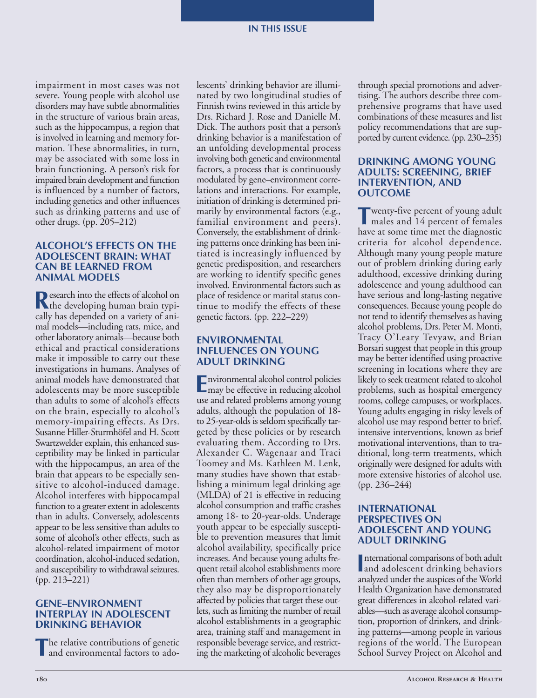impairment in most cases was not severe. Young people with alcohol use disorders may have subtle abnormalities in the structure of various brain areas, such as the hippocampus, a region that is involved in learning and memory formation. These abnormalities, in turn, may be associated with some loss in brain functioning. A person's risk for impaired brain development and function is influenced by a number of factors, including genetics and other influences such as drinking patterns and use of other drugs. (pp. 205–212)

### **ALCOHOL'S EFFECTS ON THE ADOLESCENT BRAIN: WHAT CAN BE LEARNED FROM ANIMAL MODELS**

**R**esearch into the effects of alcohol on<br>
the developing human brain typically has depended on a variety of animal models—including rats, mice, and other laboratory animals—because both ethical and practical considerations make it impossible to carry out these investigations in humans. Analyses of animal models have demonstrated that adolescents may be more susceptible than adults to some of alcohol's effects on the brain, especially to alcohol's memory-impairing effects. As Drs. Susanne Hiller-Sturmhöfel and H. Scott Swartzwelder explain, this enhanced susceptibility may be linked in particular with the hippocampus, an area of the brain that appears to be especially sensitive to alcohol-induced damage. Alcohol interferes with hippocampal function to a greater extent in adolescents than in adults. Conversely, adolescents appear to be less sensitive than adults to some of alcohol's other effects, such as alcohol-related impairment of motor coordination, alcohol-induced sedation, and susceptibility to withdrawal seizures. (pp. 213–221)

## **GENE–ENVIRONMENT INTERPLAY IN ADOLESCENT DRINKING BEHAVIOR**

**T**he relative contributions of genetic and environmental factors to adolescents' drinking behavior are illuminated by two longitudinal studies of Finnish twins reviewed in this article by Drs. Richard J. Rose and Danielle M. Dick. The authors posit that a person's drinking behavior is a manifestation of an unfolding developmental process involving both genetic and environmental factors, a process that is continuously modulated by gene–environment correlations and interactions. For example, initiation of drinking is determined primarily by environmental factors (e.g., familial environment and peers). Conversely, the establishment of drinking patterns once drinking has been initiated is increasingly influenced by genetic predisposition, and researchers are working to identify specific genes involved. Environmental factors such as place of residence or marital status continue to modify the effects of these genetic factors. (pp. 222–229)

### **ENVIRONMENTAL INFLUENCES ON YOUNG ADULT DRINKING**

**E**nvironmental alcohol control policies may be effective in reducing alcohol use and related problems among young adults, although the population of 18 to 25-year-olds is seldom specifically targeted by these policies or by research evaluating them. According to Drs. Alexander C. Wagenaar and Traci Toomey and Ms. Kathleen M. Lenk, many studies have shown that establishing a minimum legal drinking age (MLDA) of 21 is effective in reducing alcohol consumption and traffic crashes among 18- to 20-year-olds. Underage youth appear to be especially susceptible to prevention measures that limit alcohol availability, specifically price increases. And because young adults frequent retail alcohol establishments more often than members of other age groups, they also may be disproportionately affected by policies that target these outlets, such as limiting the number of retail alcohol establishments in a geographic area, training staff and management in responsible beverage service, and restricting the marketing of alcoholic beverages

through special promotions and advertising. The authors describe three comprehensive programs that have used combinations of these measures and list policy recommendations that are supported by current evidence. (pp. 230–235)

### **DRINKING AMONG YOUNG ADULTS: SCREENING, BRIEF INTERVENTION, AND OUTCOME**

**T**wenty-five percent of young adult males and 14 percent of females have at some time met the diagnostic criteria for alcohol dependence. Although many young people mature out of problem drinking during early adulthood, excessive drinking during adolescence and young adulthood can have serious and long-lasting negative consequences. Because young people do not tend to identify themselves as having alcohol problems, Drs. Peter M. Monti, Tracy O'Leary Tevyaw, and Brian Borsari suggest that people in this group may be better identified using proactive screening in locations where they are likely to seek treatment related to alcohol problems, such as hospital emergency rooms, college campuses, or workplaces. Young adults engaging in risky levels of alcohol use may respond better to brief, intensive interventions, known as brief motivational interventions, than to traditional, long-term treatments, which originally were designed for adults with more extensive histories of alcohol use. (pp. 236–244)

## **INTERNATIONAL PERSPECTIVES ON ADOLESCENT AND YOUNG ADULT DRINKING**

International comparisons of both adult<br>
and adolescent drinking behaviors nternational comparisons of both adult analyzed under the auspices of the World Health Organization have demonstrated great differences in alcohol-related variables—such as average alcohol consumption, proportion of drinkers, and drinking patterns—among people in various regions of the world. The European School Survey Project on Alcohol and